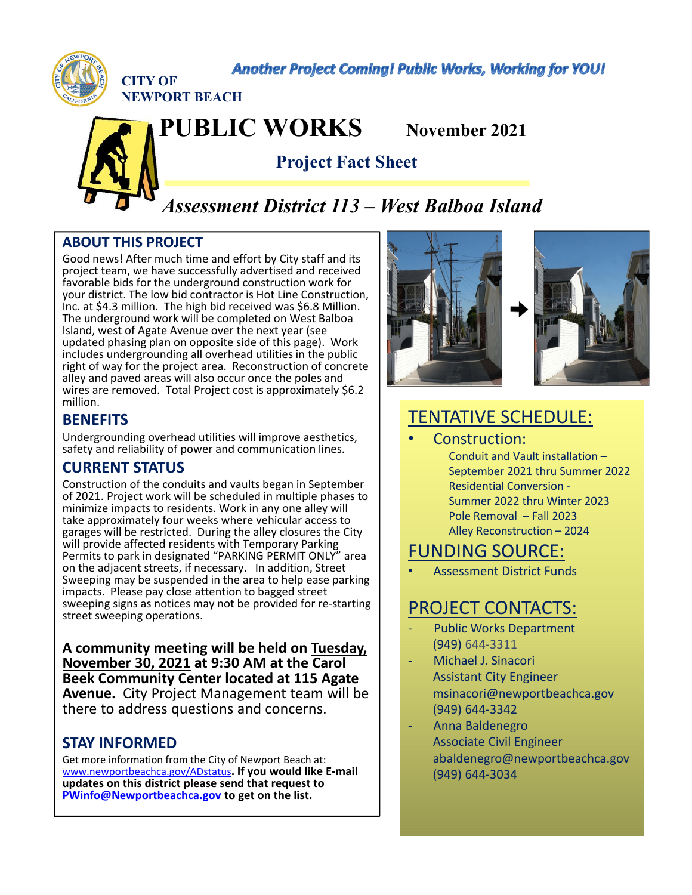

**Another Project Coming! Public Works, Working for YOU!** 

**NEWPORT BEACH**

# **PUBLIC WORKS November 2021**

**Project Fact Sheet**

*Assessment District 113 – West Balboa Island*

#### **ABOUT THIS PROJECT**

Good news! After much time and effort by City staff and its project team, we have successfully advertised and received favorable bids for the underground construction work for your district. The low bid contractor is Hot Line Construction, Inc. at \$4.3 million. The high bid received was \$6.8 Million. The underground work will be completed on West Balboa Island, west of Agate Avenue over the next year (see updated phasing plan on opposite side of this page). Work includes undergrounding all overhead utilities in the public right of way for the project area. Reconstruction of concrete alley and paved areas will also occur once the poles and wires are removed. Total Project cost is approximately \$6.2 million.

#### **BENEFITS**

Undergrounding overhead utilities will improve aesthetics, safety and reliability of power and communication lines.

#### **CURRENT STATUS**

Construction of the conduits and vaults began in September of 2021. Project work will be scheduled in multiple phases to minimize impacts to residents. Work in any one alley will take approximately four weeks where vehicular access to garages will be restricted. During the alley closures the City will provide affected residents with Temporary Parking Permits to park in designated "PARKING PERMIT ONLY" area on the adjacent streets, if necessary. In addition, Street Sweeping may be suspended in the area to help ease parking impacts. Please pay close attention to bagged street sweeping signs as notices may not be provided for re‐starting street sweeping operations.

**A community meeting will be held on Tuesday, November 30, 2021 at 9:30 AM at the Carol Beek Community Center located at 115 Agate Avenue.** City Project Management team will be there to address questions and concerns.

#### **STAY INFORMED**

Get more information from the City of Newport Beach at: www.newportbeachca.gov/ADstatus**. If you would like E‐mail updates on this district please send that request to PWinfo@Newportbeachca.gov to get on the list.** 





# TENTATIVE SCHEDULE:

• Construction: Conduit and Vault installation – September 2021 thru Summer 2022 Residential Conversion ‐ Summer 2022 thru Winter 2023 Pole Removal – Fall 2023 Alley Reconstruction – 2024

## FUNDING SOURCE:

• Assessment District Funds

### PROJECT CONTACTS:

- ‐ Public Works Department (949) 644‐3311
- ‐ Michael J. Sinacori Assistant City Engineer msinacori@newportbeachca.gov (949) 644‐3342
- ‐ Anna Baldenegro Associate Civil Engineer abaldenegro@newportbeachca.gov (949) 644‐3034